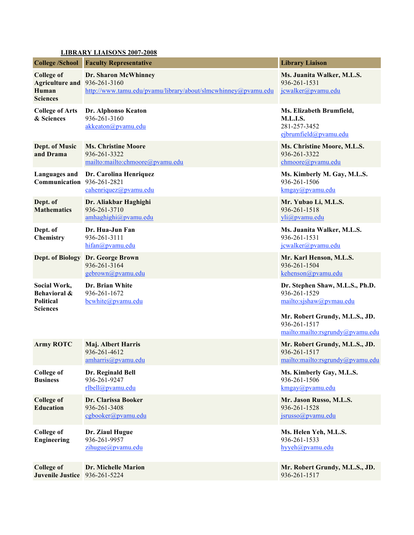## **LIBRARY LIAISONS 2007-2008**

| <b>College /School</b>                                                        | <b>Faculty Representative</b>                                                         | <b>Library Liaison</b>                                                                                                                                           |
|-------------------------------------------------------------------------------|---------------------------------------------------------------------------------------|------------------------------------------------------------------------------------------------------------------------------------------------------------------|
| <b>College of</b><br>Agriculture and 936-261-3160<br>Human<br><b>Sciences</b> | Dr. Sharon McWhinney<br>http://www.tamu.edu/pvamu/library/about/slmcwhinney@pvamu.edu | Ms. Juanita Walker, M.L.S.<br>936-261-1531<br>jcwalker@pvamu.edu                                                                                                 |
| <b>College of Arts</b><br>& Sciences                                          | Dr. Alphonso Keaton<br>936-261-3160<br>akkeaton@pvamu.edu                             | Ms. Elizabeth Brumfield,<br><b>M.L.I.S.</b><br>281-257-3452<br>ejbrumfield@pvamu.edu                                                                             |
| Dept. of Music<br>and Drama                                                   | <b>Ms. Christine Moore</b><br>936-261-3322<br>mailto:mailto:chmoore@pvamu.edu         | Ms. Christine Moore, M.L.S.<br>936-261-3322<br>chmoore@pvamu.edu                                                                                                 |
| <b>Languages and</b><br>Communication 936-261-2821                            | Dr. Carolina Henriquez<br>cahenriquez@pvamu.edu                                       | Ms. Kimberly M. Gay, M.L.S.<br>936-261-1506<br>kmgay@pvamu.edu                                                                                                   |
| Dept. of<br><b>Mathematics</b>                                                | Dr. Aliakbar Haghighi<br>936-261-3710<br>amhaghighi@pvamu.edu                         | Mr. Yubao Li, M.L.S.<br>936-261-1518<br>yli@pvamu.edu                                                                                                            |
| Dept. of<br>Chemistry                                                         | Dr. Hua-Jun Fan<br>936-261-3111<br>hifan@pvamu.edu                                    | Ms. Juanita Walker, M.L.S.<br>936-261-1531<br>jcwalker@pvamu.edu                                                                                                 |
| <b>Dept. of Biology</b>                                                       | Dr. George Brown<br>936-261-3164<br>gebrown@pvamu.edu                                 | Mr. Karl Henson, M.L.S.<br>936-261-1504<br>kehenson@pvamu.edu                                                                                                    |
| Social Work,<br>Behavioral &<br><b>Political</b><br><b>Sciences</b>           | Dr. Brian White<br>936-261-1672<br>bcwhite@pvamu.edu                                  | Dr. Stephen Shaw, M.L.S., Ph.D.<br>936-261-1529<br>mailto:sjshaw@pvmau.edu<br>Mr. Robert Grundy, M.L.S., JD.<br>936-261-1517<br>mailto:mailto:rsgrundy@pyamu.edu |
| <b>Army ROTC</b>                                                              | <b>Maj. Albert Harris</b><br>936-261-4612<br>amharris@pvamu.edu                       | Mr. Robert Grundy, M.L.S., JD.<br>936-261-1517<br>mailto:mailto:rsgrundy@pvamu.edu                                                                               |
| <b>College of</b><br><b>Business</b>                                          | Dr. Reginald Bell<br>936-261-9247<br>rlbell@pvamu.edu                                 | Ms. Kimberly Gay, M.L.S.<br>936-261-1506<br>kmgay@pvamu.edu                                                                                                      |
| <b>College of</b><br><b>Education</b>                                         | Dr. Clarissa Booker<br>936-261-3408<br>cgbooker@pvamu.edu                             | Mr. Jason Russo, M.L.S.<br>936-261-1528<br>isrusso@pvamu.edu                                                                                                     |
| <b>College of</b><br><b>Engineering</b>                                       | Dr. Ziaul Hugue<br>936-261-9957<br>zihugue@pvamu.edu                                  | Ms. Helen Yeh, M.L.S.<br>936-261-1533<br>hyyeh@pvamu.edu                                                                                                         |
| <b>College of</b><br><b>Juvenile Justice</b>                                  | Dr. Michelle Marion<br>936-261-5224                                                   | Mr. Robert Grundy, M.L.S., JD.<br>936-261-1517                                                                                                                   |